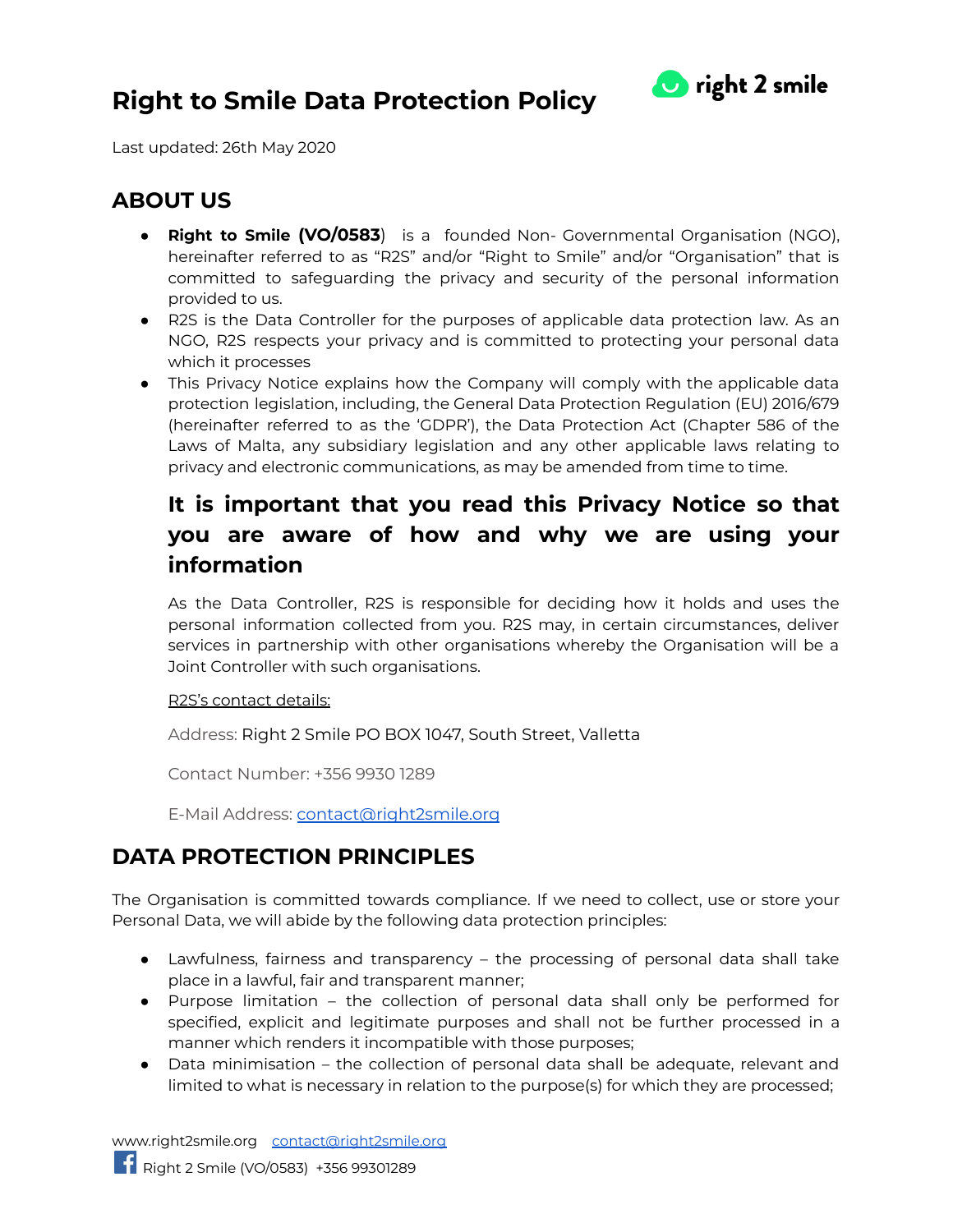

Last updated: 26th May 2020

#### **ABOUT US**

- **Right to Smile (VO/0583**) is a founded Non- Governmental Organisation (NGO), hereinafter referred to as "R2S" and/or "Right to Smile" and/or "Organisation" that is committed to safeguarding the privacy and security of the personal information provided to us.
- R2S is the Data Controller for the purposes of applicable data protection law. As an NGO, R2S respects your privacy and is committed to protecting your personal data which it processes
- This Privacy Notice explains how the Company will comply with the applicable data protection legislation, including, the General Data Protection Regulation (EU) 2016/679 (hereinafter referred to as the 'GDPR'), the Data Protection Act (Chapter 586 of the Laws of Malta, any subsidiary legislation and any other applicable laws relating to privacy and electronic communications, as may be amended from time to time.

### **It is important that you read this Privacy Notice so that you are aware of how and why we are using your information**

As the Data Controller, R2S is responsible for deciding how it holds and uses the personal information collected from you. R2S may, in certain circumstances, deliver services in partnership with other organisations whereby the Organisation will be a Joint Controller with such organisations.

#### R2S's contact details:

Address: Right 2 Smile PO BOX 1047, South Street, Valletta

Contact Number: +356 9930 1289

E-Mail Address: [contact@right2smile.org](mailto:contact@right2smile.org)

### **DATA PROTECTION PRINCIPLES**

The Organisation is committed towards compliance. If we need to collect, use or store your Personal Data, we will abide by the following data protection principles:

- Lawfulness, fairness and transparency the processing of personal data shall take place in a lawful, fair and transparent manner;
- Purpose limitation the collection of personal data shall only be performed for specified, explicit and legitimate purposes and shall not be further processed in a manner which renders it incompatible with those purposes;
- Data minimisation the collection of personal data shall be adequate, relevant and limited to what is necessary in relation to the purpose(s) for which they are processed;

[www.right2smile.org](http://www.right2smile.org) [contact@right2smile.org](mailto:contact@right2smile.org)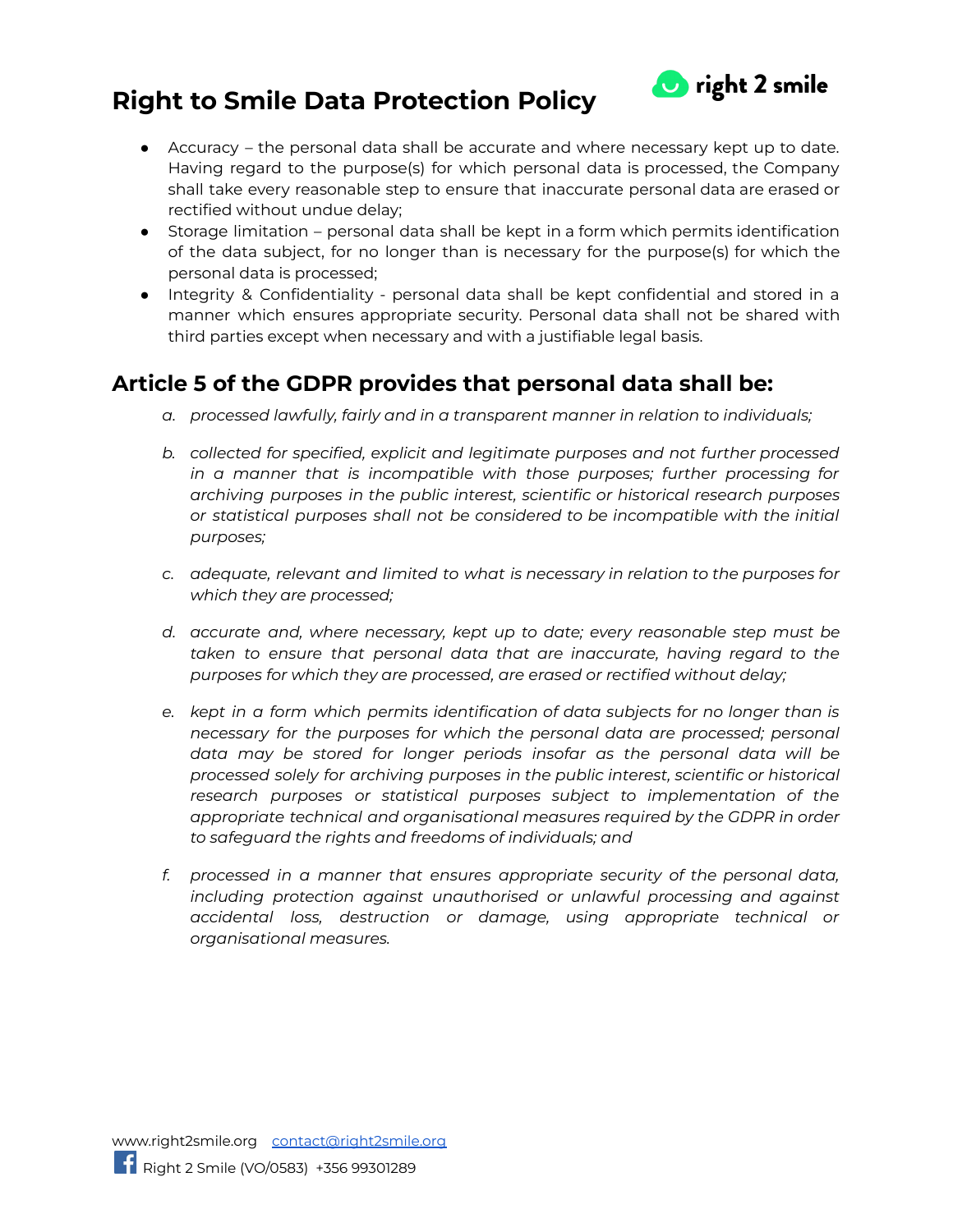

- Accuracy the personal data shall be accurate and where necessary kept up to date. Having regard to the purpose(s) for which personal data is processed, the Company shall take every reasonable step to ensure that inaccurate personal data are erased or rectified without undue delay;
- Storage limitation personal data shall be kept in a form which permits identification of the data subject, for no longer than is necessary for the purpose(s) for which the personal data is processed;
- Integrity & Confidentiality personal data shall be kept confidential and stored in a manner which ensures appropriate security. Personal data shall not be shared with third parties except when necessary and with a justifiable legal basis.

### **Article 5 of the GDPR provides that personal data shall be:**

- *a. processed lawfully, fairly and in a transparent manner in relation to individuals;*
- *b. collected for specified, explicit and legitimate purposes and not further processed in a manner that is incompatible with those purposes; further processing for archiving purposes in the public interest, scientific or historical research purposes or statistical purposes shall not be considered to be incompatible with the initial purposes;*
- *c. adequate, relevant and limited to what is necessary in relation to the purposes for which they are processed;*
- *d. accurate and, where necessary, kept up to date; every reasonable step must be taken to ensure that personal data that are inaccurate, having regard to the purposes for which they are processed, are erased or rectified without delay;*
- *e. kept in a form which permits identification of data subjects for no longer than is necessary for the purposes for which the personal data are processed; personal data may be stored for longer periods insofar as the personal data will be processed solely for archiving purposes in the public interest, scientific or historical research purposes or statistical purposes subject to implementation of the appropriate technical and organisational measures required by the GDPR in order to safeguard the rights and freedoms of individuals; and*
- *f. processed in a manner that ensures appropriate security of the personal data, including protection against unauthorised or unlawful processing and against accidental loss, destruction or damage, using appropriate technical or organisational measures.*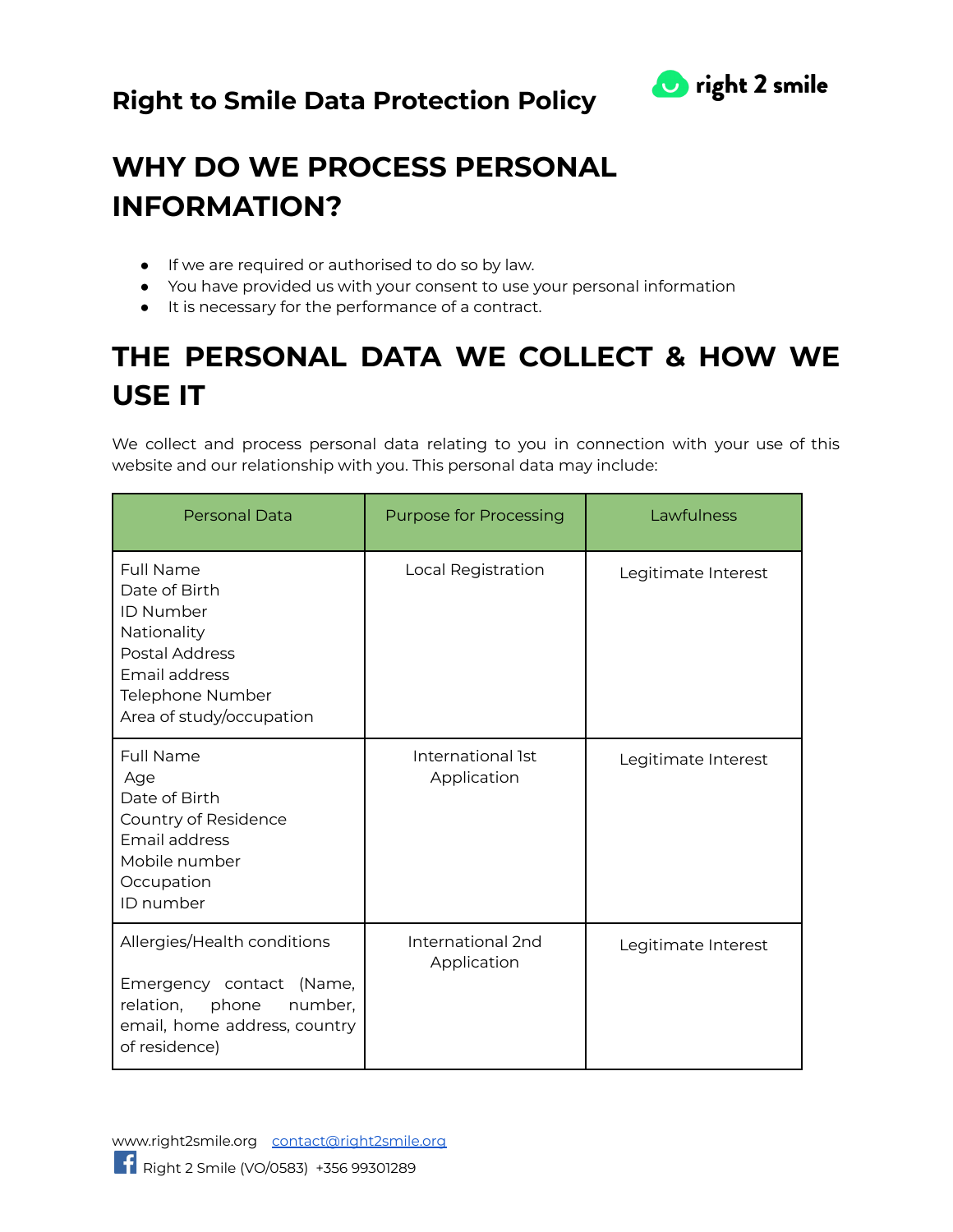

# **WHY DO WE PROCESS PERSONAL INFORMATION?**

- If we are required or authorised to do so by law.
- You have provided us with your consent to use your personal information
- It is necessary for the performance of a contract.

# **THE PERSONAL DATA WE COLLECT & HOW WE USE IT**

We collect and process personal data relating to you in connection with your use of this website and our relationship with you. This personal data may include:

| <b>Personal Data</b>                                                                                                                                           | <b>Purpose for Processing</b>    | Lawfulness          |
|----------------------------------------------------------------------------------------------------------------------------------------------------------------|----------------------------------|---------------------|
| <b>Full Name</b><br>Date of Birth<br><b>ID Number</b><br>Nationality<br><b>Postal Address</b><br>Email address<br>Telephone Number<br>Area of study/occupation | Local Registration               | Legitimate Interest |
| Full Name<br>Age<br>Date of Birth<br>Country of Residence<br>Email address<br>Mobile number<br>Occupation<br>ID number                                         | International 1st<br>Application | Legitimate Interest |
| Allergies/Health conditions<br>Emergency contact (Name,<br>relation,<br>phone<br>number,<br>email, home address, country<br>of residence)                      | International 2nd<br>Application | Legitimate Interest |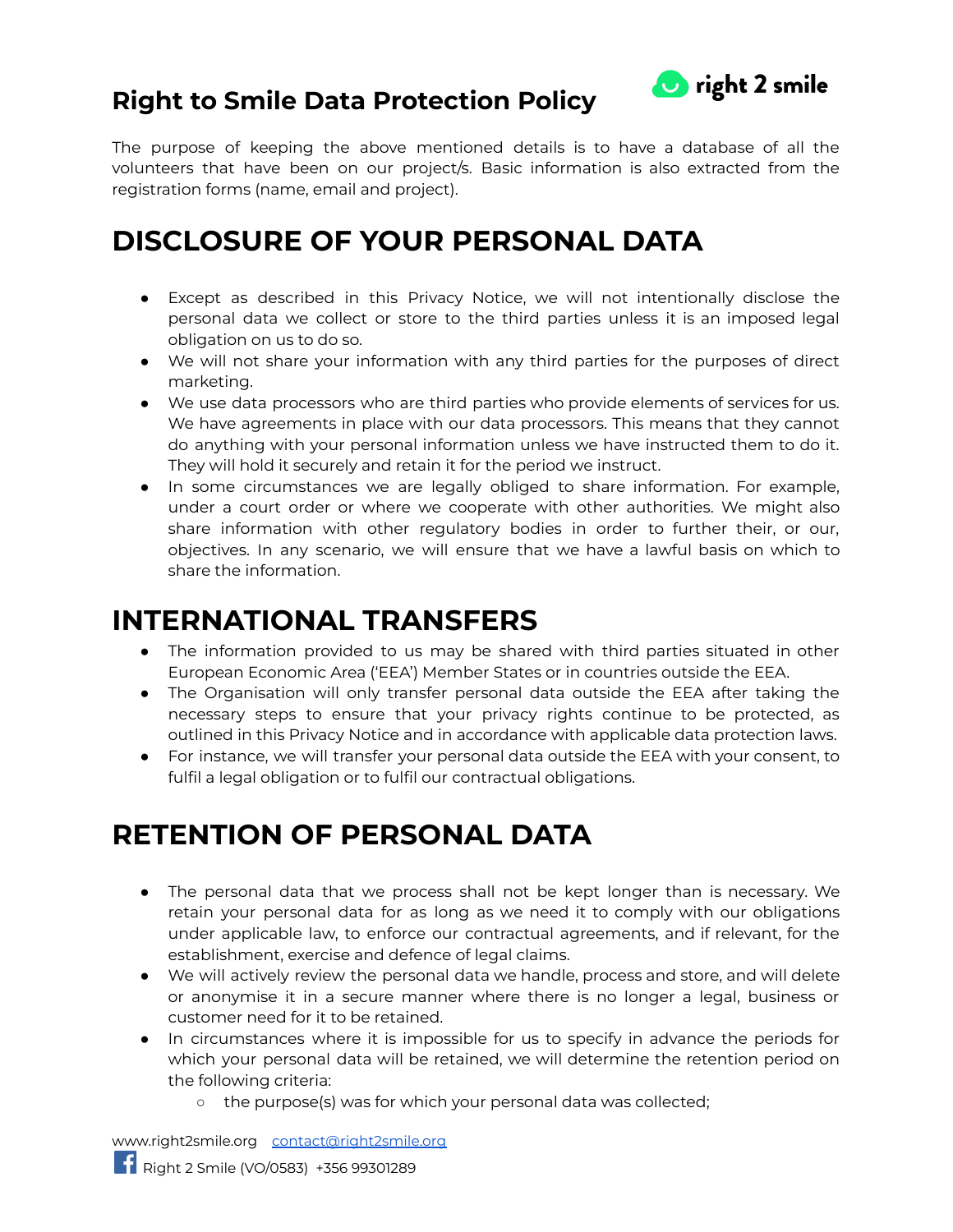

The purpose of keeping the above mentioned details is to have a database of all the volunteers that have been on our project/s. Basic information is also extracted from the registration forms (name, email and project).

## **DISCLOSURE OF YOUR PERSONAL DATA**

- Except as described in this Privacy Notice, we will not intentionally disclose the personal data we collect or store to the third parties unless it is an imposed legal obligation on us to do so.
- We will not share your information with any third parties for the purposes of direct marketing.
- We use data processors who are third parties who provide elements of services for us. We have agreements in place with our data processors. This means that they cannot do anything with your personal information unless we have instructed them to do it. They will hold it securely and retain it for the period we instruct.
- In some circumstances we are legally obliged to share information. For example, under a court order or where we cooperate with other authorities. We might also share information with other regulatory bodies in order to further their, or our, objectives. In any scenario, we will ensure that we have a lawful basis on which to share the information.

## **INTERNATIONAL TRANSFERS**

- The information provided to us may be shared with third parties situated in other European Economic Area ('EEA') Member States or in countries outside the EEA.
- The Organisation will only transfer personal data outside the EEA after taking the necessary steps to ensure that your privacy rights continue to be protected, as outlined in this Privacy Notice and in accordance with applicable data protection laws.
- For instance, we will transfer your personal data outside the EEA with your consent, to fulfil a legal obligation or to fulfil our contractual obligations.

## **RETENTION OF PERSONAL DATA**

- The personal data that we process shall not be kept longer than is necessary. We retain your personal data for as long as we need it to comply with our obligations under applicable law, to enforce our contractual agreements, and if relevant, for the establishment, exercise and defence of legal claims.
- We will actively review the personal data we handle, process and store, and will delete or anonymise it in a secure manner where there is no longer a legal, business or customer need for it to be retained.
- In circumstances where it is impossible for us to specify in advance the periods for which your personal data will be retained, we will determine the retention period on the following criteria:
	- o the purpose(s) was for which your personal data was collected;

[www.right2smile.org](http://www.right2smile.org) [contact@right2smile.org](mailto:contact@right2smile.org)